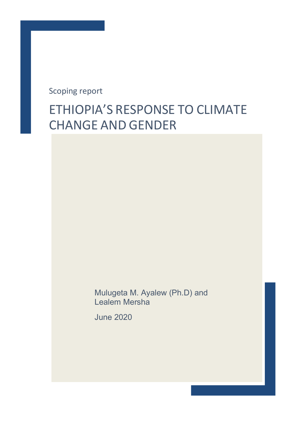Scoping report

# ETHIOPIA'S RESPONSE TO CLIMATE CHANGE AND GENDER

Mulugeta M. Ayalew (Ph.D) and Lealem Mersha

June 2020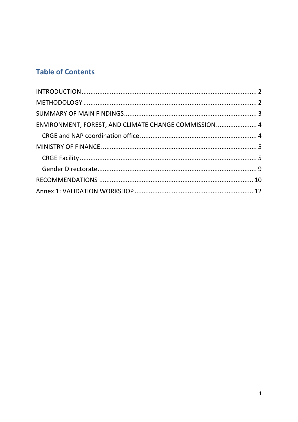# **Table of Contents**

| ENVIRONMENT, FOREST, AND CLIMATE CHANGE COMMISSION 4 |  |
|------------------------------------------------------|--|
|                                                      |  |
|                                                      |  |
|                                                      |  |
|                                                      |  |
|                                                      |  |
|                                                      |  |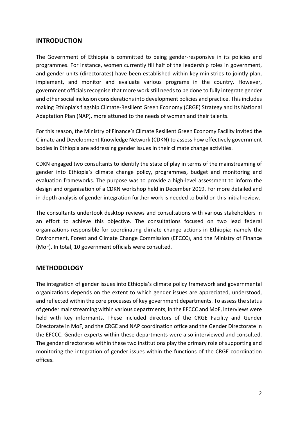#### **INTRODUCTION**

The Government of Ethiopia is committed to being gender-responsive in its policies and programmes. For instance, women currently fill half of the leadership roles in government, and gender units (directorates) have been established within key ministries to jointly plan, implement, and monitor and evaluate various programs in the country. However, government officials recognise that more work still needs to be done to fully integrate gender and other social inclusion considerations into development policies and practice. This includes making Ethiopia's flagship Climate-Resilient Green Economy (CRGE) Strategy and its National Adaptation Plan (NAP), more attuned to the needs of women and their talents.

For this reason, the Ministry of Finance's Climate Resilient Green Economy Facility invited the Climate and Development Knowledge Network (CDKN) to assess how effectively government bodies in Ethiopia are addressing gender issues in their climate change activities.

CDKN engaged two consultants to identify the state of play in terms of the mainstreaming of gender into Ethiopia's climate change policy, programmes, budget and monitoring and evaluation frameworks. The purpose was to provide a high-level assessment to inform the design and organisation of a CDKN workshop held in December 2019. For more detailed and in-depth analysis of gender integration further work is needed to build on this initial review.

The consultants undertook desktop reviews and consultations with various stakeholders in an effort to achieve this objective. The consultations focused on two lead federal organizations responsible for coordinating climate change actions in Ethiopia; namely the Environment, Forest and Climate Change Commission (EFCCC), and the Ministry of Finance (MoF). In total, 10 government officials were consulted.

# **METHODOLOGY**

The integration of gender issues into Ethiopia's climate policy framework and governmental organizations depends on the extent to which gender issues are appreciated, understood, and reflected within the core processes of key government departments. To assess the status of gender mainstreaming within various departments, in the EFCCC and MoF, interviews were held with key informants. These included directors of the CRGE Facility and Gender Directorate in MoF, and the CRGE and NAP coordination office and the Gender Directorate in the EFCCC. Gender experts within these departments were also interviewed and consulted. The gender directorates within these two institutions play the primary role of supporting and monitoring the integration of gender issues within the functions of the CRGE coordination offices.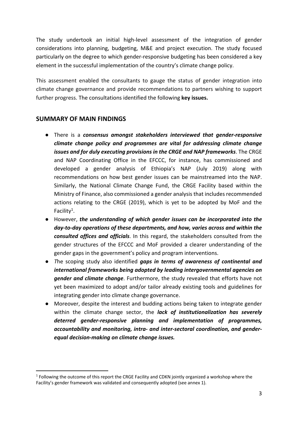The study undertook an initial high-level assessment of the integration of gender considerations into planning, budgeting, M&E and project execution. The study focused particularly on the degree to which gender-responsive budgeting has been considered a key element in the successful implementation of the country's climate change policy.

This assessment enabled the consultants to gauge the status of gender integration into climate change governance and provide recommendations to partners wishing to support further progress. The consultations identified the following **key issues.**

# **SUMMARY OF MAIN FINDINGS**

- There is a *consensus amongst stakeholders interviewed that gender-responsive climate change policy and programmes are vital for addressing climate change issues and for duly executing provisions in the CRGE and NAP frameworks*. The CRGE and NAP Coordinating Office in the EFCCC, for instance, has commissioned and developed a gender analysis of Ethiopia's NAP (July 2019) along with recommendations on how best gender issues can be mainstreamed into the NAP. Similarly, the National Climate Change Fund, the CRGE Facility based within the Ministry of Finance, also commissioned a gender analysis that includes recommended actions relating to the CRGE (2019), which is yet to be adopted by MoF and the Facility<sup>1</sup>.
- However, *the understanding of which gender issues can be incorporated into the day-to-day operations of these departments, and how, varies across and within the consulted offices and officials*. In this regard, the stakeholders consulted from the gender structures of the EFCCC and MoF provided a clearer understanding of the gender gaps in the government's policy and program interventions.
- *T*he scoping study also identified *gaps in terms of awareness of continental and international frameworks being adopted by leading intergovernmental agencies on gender and climate change*. Furthermore, the study revealed that efforts have not yet been maximized to adopt and/or tailor already existing tools and guidelines for integrating gender into climate change governance.
- Moreover, despite the interest and budding actions being taken to integrate gender within the climate change sector, the *lack of institutionalization has severely deterred gender-responsive planning and implementation of programmes, accountability and monitoring, intra- and inter-sectoral coordination, and genderequal decision-making on climate change issues.*

 $1$  Following the outcome of this report the CRGE Facility and CDKN jointly organized a workshop where the Facility's gender framework was validated and consequently adopted (see annex 1).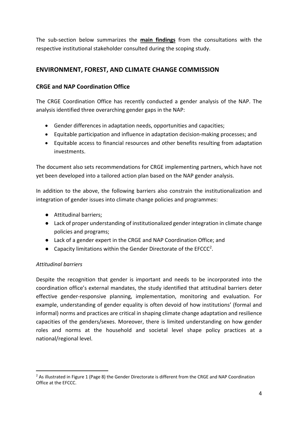The sub-section below summarizes the **main findings** from the consultations with the respective institutional stakeholder consulted during the scoping study.

# **ENVIRONMENT, FOREST, AND CLIMATE CHANGE COMMISSION**

#### **CRGE and NAP Coordination Office**

The CRGE Coordination Office has recently conducted a gender analysis of the NAP. The analysis identified three overarching gender gaps in the NAP:

- Gender differences in adaptation needs, opportunities and capacities;
- Equitable participation and influence in adaptation decision-making processes; and
- Equitable access to financial resources and other benefits resulting from adaptation investments.

The document also sets recommendations for CRGE implementing partners, which have not yet been developed into a tailored action plan based on the NAP gender analysis.

In addition to the above, the following barriers also constrain the institutionalization and integration of gender issues into climate change policies and programmes:

- Attitudinal barriers;
- Lack of proper understanding of institutionalized gender integration in climate change policies and programs;
- Lack of a gender expert in the CRGE and NAP Coordination Office; and
- Capacity limitations within the Gender Directorate of the EFCCC<sup>2</sup>.

#### *Attitudinal barriers*

Despite the recognition that gender is important and needs to be incorporated into the coordination office's external mandates, the study identified that attitudinal barriers deter effective gender-responsive planning, implementation, monitoring and evaluation. For example, understanding of gender equality is often devoid of how institutions' (formal and informal) norms and practices are critical in shaping climate change adaptation and resilience capacities of the genders/sexes. Moreover, there is limited understanding on how gender roles and norms at the household and societal level shape policy practices at a national/regional level.

<sup>&</sup>lt;sup>2</sup> As illustrated in Figure 1 (Page 8) the Gender Directorate is different from the CRGE and NAP Coordination Office at the EFCCC.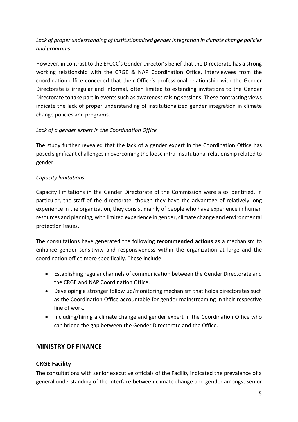# *Lack of proper understanding of institutionalized gender integration in climate change policies and programs*

However, in contrast to the EFCCC's Gender Director's belief that the Directorate has a strong working relationship with the CRGE & NAP Coordination Office, interviewees from the coordination office conceded that their Office's professional relationship with the Gender Directorate is irregular and informal, often limited to extending invitations to the Gender Directorate to take part in events such as awareness raising sessions. These contrasting views indicate the lack of proper understanding of institutionalized gender integration in climate change policies and programs.

#### *Lack of a gender expert in the Coordination Office*

The study further revealed that the lack of a gender expert in the Coordination Office has posed significant challenges in overcoming the loose intra-institutional relationship related to gender.

#### *Capacity limitations*

Capacity limitations in the Gender Directorate of the Commission were also identified. In particular, the staff of the directorate, though they have the advantage of relatively long experience in the organization, they consist mainly of people who have experience in human resources and planning, with limited experience in gender, climate change and environmental protection issues.

The consultations have generated the following **recommended actions** as a mechanism to enhance gender sensitivity and responsiveness within the organization at large and the coordination office more specifically. These include:

- Establishing regular channels of communication between the Gender Directorate and the CRGE and NAP Coordination Office.
- Developing a stronger follow up/monitoring mechanism that holds directorates such as the Coordination Office accountable for gender mainstreaming in their respective line of work.
- Including/hiring a climate change and gender expert in the Coordination Office who can bridge the gap between the Gender Directorate and the Office.

#### **MINISTRY OF FINANCE**

#### **CRGE Facility**

The consultations with senior executive officials of the Facility indicated the prevalence of a general understanding of the interface between climate change and gender amongst senior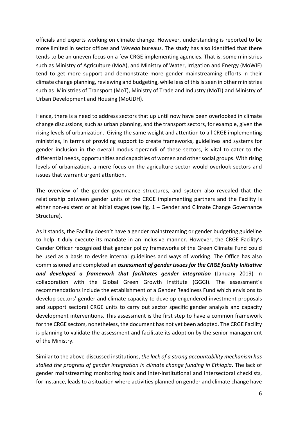officials and experts working on climate change. However, understanding is reported to be more limited in sector offices and *Wereda* bureaus. The study has also identified that there tends to be an uneven focus on a few CRGE implementing agencies. That is, some ministries such as Ministry of Agriculture (MoA), and Ministry of Water, Irrigation and Energy (MoWIE) tend to get more support and demonstrate more gender mainstreaming efforts in their climate change planning, reviewing and budgeting, while less of thisisseen in other ministries such as Ministries of Transport (MoT), Ministry of Trade and Industry (MoTI) and Ministry of Urban Development and Housing (MoUDH).

Hence, there is a need to address sectors that up until now have been overlooked in climate change discussions, such as urban planning, and the transport sectors, for example, given the rising levels of urbanization. Giving the same weight and attention to all CRGE implementing ministries, in terms of providing support to create frameworks, guidelines and systems for gender inclusion in the overall modus operandi of these sectors, is vital to cater to the differential needs, opportunities and capacities of women and other social groups. With rising levels of urbanization, a mere focus on the agriculture sector would overlook sectors and issues that warrant urgent attention.

The overview of the gender governance structures, and system also revealed that the relationship between gender units of the CRGE implementing partners and the Facility is either non-existent or at initial stages (see fig. 1 – Gender and Climate Change Governance Structure).

As it stands, the Facility doesn't have a gender mainstreaming or gender budgeting guideline to help it duly execute its mandate in an inclusive manner. However, the CRGE Facility's Gender Officer recognized that gender policy frameworks of the Green Climate Fund could be used as a basis to devise internal guidelines and ways of working. The Office has also commissioned and completed an *assessment of gender issues for the CRGE facility Initiative and developed a framework that facilitates gender integration* (January 2019) in collaboration with the Global Green Growth Institute (GGGI). The assessment's recommendations include the establishment of a Gender Readiness Fund which envisions to develop sectors' gender and climate capacity to develop engendered investment proposals and support sectoral CRGE units to carry out sector specific gender analysis and capacity development interventions. This assessment is the first step to have a common framework for the CRGE sectors, nonetheless, the document has not yet been adopted. The CRGE Facility is planning to validate the assessment and facilitate its adoption by the senior management of the Ministry.

Similar to the above-discussed institutions, *the lack of a strong accountability mechanism has stalled the progress of gender integration in climate change funding in Ethiopia***.** The lack of gender mainstreaming monitoring tools and inter-institutional and intersectoral checklists, for instance, leads to a situation where activities planned on gender and climate change have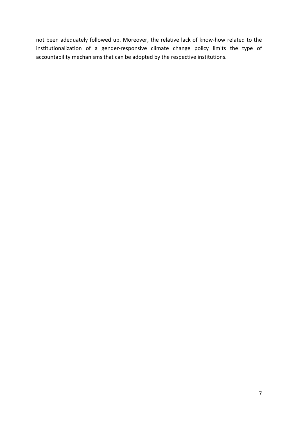not been adequately followed up. Moreover, the relative lack of know-how related to the institutionalization of a gender-responsive climate change policy limits the type of accountability mechanisms that can be adopted by the respective institutions.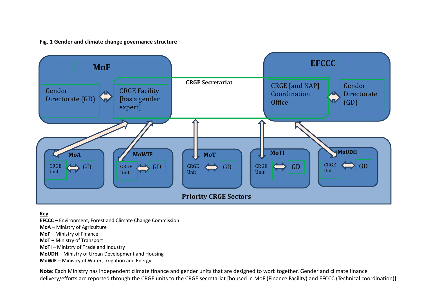#### **Fig. 1 Gender and climate change governance structure**



**Key**

- **EFCCC** Environment, Forest and Climate Change Commission
- **MoA** Ministry of Agriculture
- **MoF** Ministry of Finance
- **MoT** Ministry of Transport
- **MoTI** Ministry of Trade and Industry
- **MoUDH** Ministry of Urban Development and Housing
- **MoWIE** Ministry of Water, Irrigation and Energy

**Note:** Each Ministry has independent climate finance and gender units that are designed to work together. Gender and climate finance delivery/efforts are reported through the CRGE units to the CRGE secretariat [housed in MoF (Finance Facility) and EFCCC (Technical coordination)].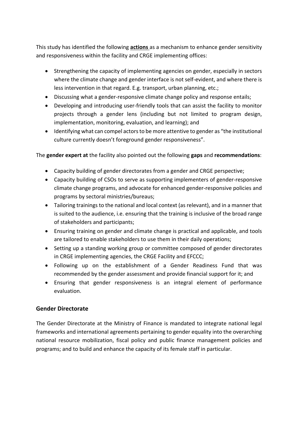This study has identified the following **actions** as a mechanism to enhance gender sensitivity and responsiveness within the facility and CRGE implementing offices:

- Strengthening the capacity of implementing agencies on gender, especially in sectors where the climate change and gender interface is not self-evident, and where there is less intervention in that regard. E.g. transport, urban planning, etc.;
- Discussing what a gender-responsive climate change policy and response entails;
- Developing and introducing user-friendly tools that can assist the facility to monitor projects through a gender lens (including but not limited to program design, implementation, monitoring, evaluation, and learning); and
- Identifying what can compel actors to be more attentive to gender as "the institutional culture currently doesn't foreground gender responsiveness".

The **gender expert at** the facility also pointed out the following **gaps** and **recommendations**:

- Capacity building of gender directorates from a gender and CRGE perspective;
- Capacity building of CSOs to serve as supporting implementers of gender-responsive climate change programs, and advocate for enhanced gender-responsive policies and programs by sectoral ministries/bureaus;
- Tailoring trainings to the national and local context (as relevant), and in a manner that is suited to the audience, i.e. ensuring that the training is inclusive of the broad range of stakeholders and participants;
- Ensuring training on gender and climate change is practical and applicable, and tools are tailored to enable stakeholders to use them in their daily operations;
- Setting up a standing working group or committee composed of gender directorates in CRGE implementing agencies, the CRGE Facility and EFCCC;
- Following up on the establishment of a Gender Readiness Fund that was recommended by the gender assessment and provide financial support for it; and
- Ensuring that gender responsiveness is an integral element of performance evaluation.

#### **Gender Directorate**

The Gender Directorate at the Ministry of Finance is mandated to integrate national legal frameworks and international agreements pertaining to gender equality into the overarching national resource mobilization, fiscal policy and public finance management policies and programs; and to build and enhance the capacity of its female staff in particular.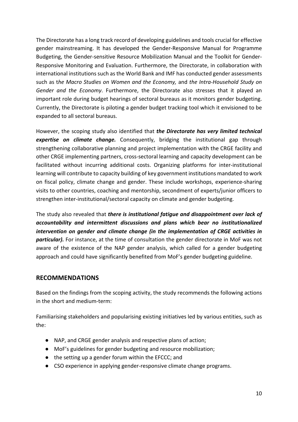The Directorate has a long track record of developing guidelines and tools crucial for effective gender mainstreaming. It has developed the Gender-Responsive Manual for Programme Budgeting, the Gender-sensitive Resource Mobilization Manual and the Toolkit for Gender-Responsive Monitoring and Evaluation. Furthermore, the Directorate, in collaboration with international institutions such as the World Bank and IMF has conducted gender assessments such as t*he Macro Studies on Women and the Economy,* and *the Intra-Household Study on Gender and the Economy*. Furthermore, the Directorate also stresses that it played an important role during budget hearings of sectoral bureaus as it monitors gender budgeting. Currently, the Directorate is piloting a gender budget tracking tool which it envisioned to be expanded to all sectoral bureaus.

However, the scoping study also identified that *the Directorate has very limited technical expertise on climate change.* Consequently, bridging the institutional gap through strengthening collaborative planning and project implementation with the CRGE facility and other CRGE implementing partners, cross-sectoral learning and capacity development can be facilitated without incurring additional costs. Organizing platforms for inter-institutional learning will contribute to capacity building of key government institutions mandated to work on fiscal policy, climate change and gender. These include workshops, experience-sharing visits to other countries, coaching and mentorship, secondment of experts/junior officers to strengthen inter-institutional/sectoral capacity on climate and gender budgeting.

The study also revealed that *there is institutional fatigue and disappointment over lack of accountability and intermittent discussions and plans which bear no institutionalized intervention on gender and climate change (in the implementation of CRGE activities in particular).* For instance, at the time of consultation the gender directorate in MoF was not aware of the existence of the NAP gender analysis, which called for a gender budgeting approach and could have significantly benefited from MoF's gender budgeting guideline.

#### **RECOMMENDATIONS**

Based on the findings from the scoping activity, the study recommends the following actions in the short and medium-term:

Familiarising stakeholders and popularising existing initiatives led by various entities, such as the:

- NAP, and CRGE gender analysis and respective plans of action;
- MoF's guidelines for gender budgeting and resource mobilization;
- the setting up a gender forum within the EFCCC; and
- CSO experience in applying gender-responsive climate change programs.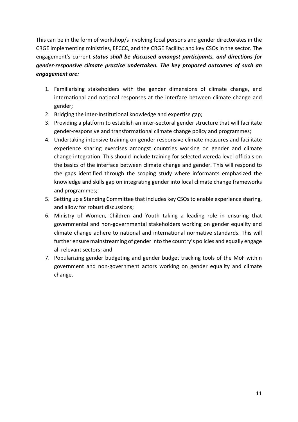This can be in the form of workshop/s involving focal persons and gender directorates in the CRGE implementing ministries, EFCCC, and the CRGE Facility; and key CSOs in the sector. The engagement's current *status shall be discussed amongst participants, and directions for gender-responsive climate practice undertaken. The key proposed outcomes of such an engagement are:*

- 1. Familiarising stakeholders with the gender dimensions of climate change, and international and national responses at the interface between climate change and gender;
- 2. Bridging the inter-Institutional knowledge and expertise gap;
- 3. Providing a platform to establish an inter-sectoral gender structure that will facilitate gender-responsive and transformational climate change policy and programmes;
- 4. Undertaking intensive training on gender responsive climate measures and facilitate experience sharing exercises amongst countries working on gender and climate change integration. This should include training for selected wereda level officials on the basics of the interface between climate change and gender. This will respond to the gaps identified through the scoping study where informants emphasized the knowledge and skills gap on integrating gender into local climate change frameworks and programmes;
- 5. Setting up a Standing Committee that includes key CSOs to enable experience sharing, and allow for robust discussions;
- 6. Ministry of Women, Children and Youth taking a leading role in ensuring that governmental and non-governmental stakeholders working on gender equality and climate change adhere to national and international normative standards. This will further ensure mainstreaming of gender into the country's policies and equally engage all relevant sectors; and
- 7. Popularizing gender budgeting and gender budget tracking tools of the MoF within government and non-government actors working on gender equality and climate change.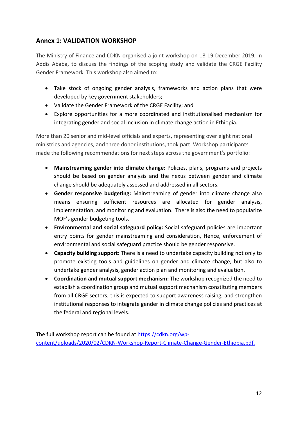### **Annex 1: VALIDATION WORKSHOP**

The Ministry of Finance and CDKN organised a joint workshop on 18-19 December 2019, in Addis Ababa, to discuss the findings of the scoping study and validate the CRGE Facility Gender Framework. This workshop also aimed to:

- Take stock of ongoing gender analysis, frameworks and action plans that were developed by key government stakeholders;
- Validate the Gender Framework of the CRGE Facility; and
- Explore opportunities for a more coordinated and institutionalised mechanism for integrating gender and social inclusion in climate change action in Ethiopia.

More than 20 senior and mid-level officials and experts, representing over eight national ministries and agencies, and three donor institutions, took part. Workshop participants made the following recommendations for next steps across the government's portfolio:

- **Mainstreaming gender into climate change:** Policies, plans, programs and projects should be based on gender analysis and the nexus between gender and climate change should be adequately assessed and addressed in all sectors.
- **Gender responsive budgeting:** Mainstreaming of gender into climate change also means ensuring sufficient resources are allocated for gender analysis, implementation, and monitoring and evaluation. There is also the need to popularize MOF's gender budgeting tools.
- **Environmental and social safeguard policy:** Social safeguard policies are important entry points for gender mainstreaming and consideration, Hence, enforcement of environmental and social safeguard practice should be gender responsive.
- **Capacity building support:** There is a need to undertake capacity building not only to promote existing tools and guidelines on gender and climate change, but also to undertake gender analysis, gender action plan and monitoring and evaluation.
- **Coordination and mutual support mechanism:** The workshop recognized the need to establish a coordination group and mutual support mechanism constituting members from all CRGE sectors; this is expected to support awareness raising, and strengthen institutional responses to integrate gender in climate change policies and practices at the federal and regional levels.

The full workshop report can be found at https://cdkn.org/wpcontent/uploads/2020/02/CDKN-Workshop-Report-Climate-Change-Gender-Ethiopia.pdf.